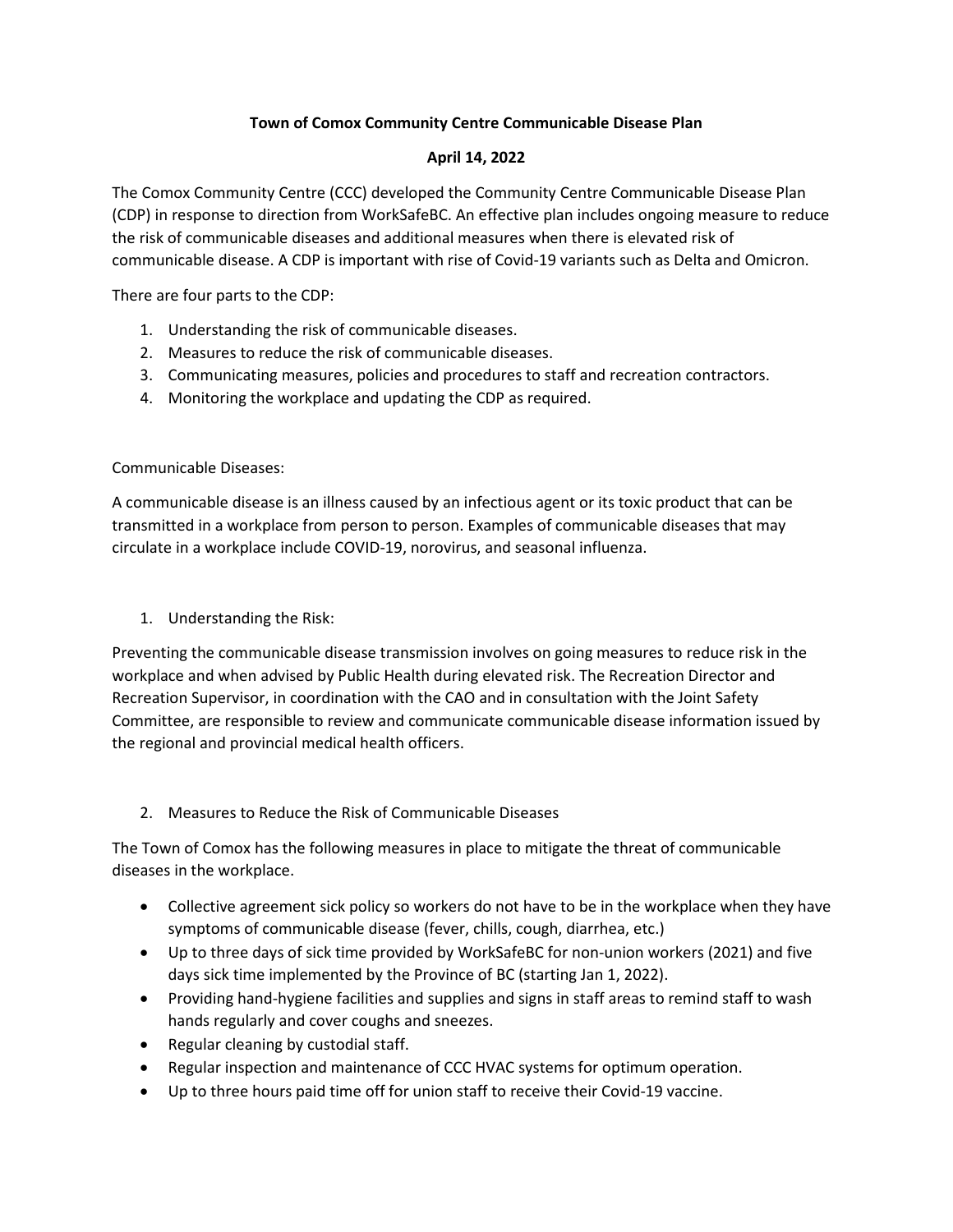## **Town of Comox Community Centre Communicable Disease Plan**

## **April 14, 2022**

The Comox Community Centre (CCC) developed the Community Centre Communicable Disease Plan (CDP) in response to direction from WorkSafeBC. An effective plan includes ongoing measure to reduce the risk of communicable diseases and additional measures when there is elevated risk of communicable disease. A CDP is important with rise of Covid-19 variants such as Delta and Omicron.

There are four parts to the CDP:

- 1. Understanding the risk of communicable diseases.
- 2. Measures to reduce the risk of communicable diseases.
- 3. Communicating measures, policies and procedures to staff and recreation contractors.
- 4. Monitoring the workplace and updating the CDP as required.

Communicable Diseases:

A communicable disease is an illness caused by an infectious agent or its toxic product that can be transmitted in a workplace from person to person. Examples of communicable diseases that may circulate in a workplace include COVID-19, norovirus, and seasonal influenza.

1. Understanding the Risk:

Preventing the communicable disease transmission involves on going measures to reduce risk in the workplace and when advised by Public Health during elevated risk. The Recreation Director and Recreation Supervisor, in coordination with the CAO and in consultation with the Joint Safety Committee, are responsible to review and communicate communicable disease information issued by the regional and provincial medical health officers.

2. Measures to Reduce the Risk of Communicable Diseases

The Town of Comox has the following measures in place to mitigate the threat of communicable diseases in the workplace.

- Collective agreement sick policy so workers do not have to be in the workplace when they have symptoms of communicable disease (fever, chills, cough, diarrhea, etc.)
- Up to three days of sick time provided by WorkSafeBC for non-union workers (2021) and five days sick time implemented by the Province of BC (starting Jan 1, 2022).
- Providing hand-hygiene facilities and supplies and signs in staff areas to remind staff to wash hands regularly and cover coughs and sneezes.
- Regular cleaning by custodial staff.
- Regular inspection and maintenance of CCC HVAC systems for optimum operation.
- Up to three hours paid time off for union staff to receive their Covid-19 vaccine.